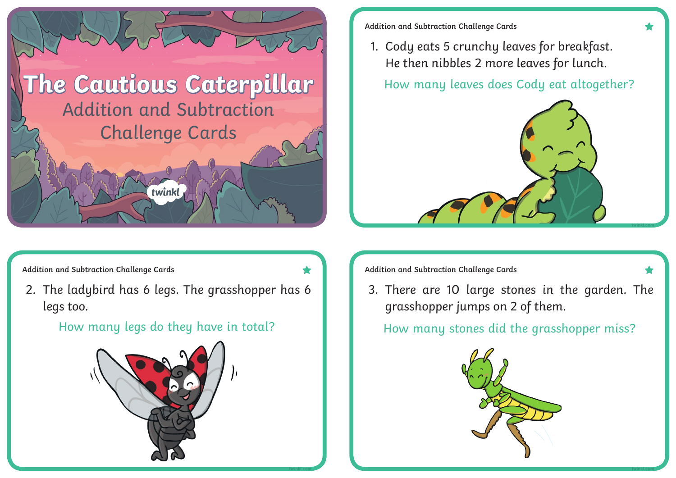

**Addition and Subtraction Challenge Cards**

1. Cody eats 5 crunchy leaves for breakfast. He then nibbles 2 more leaves for lunch.

How many leaves does Cody eat altogether?



Addition and Subtraction Challenge Cards **Addition and Subtraction Challenge Cards** 

2. The ladybird has 6 legs. The grasshopper has 6 legs too.

## How many legs do they have in total?



3. There are 10 large stones in the garden. The grasshopper jumps on 2 of them.

How many stones did the grasshopper miss?



**twinkl.com twinkl.com**

**twinkl.com**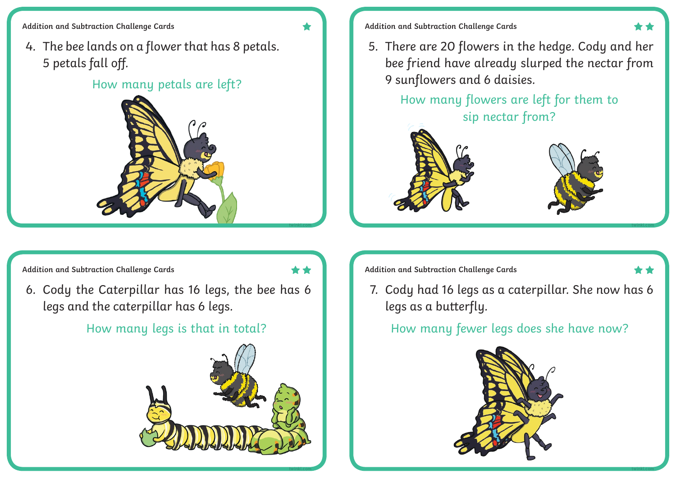**Addition and Subtraction Challenge Cards**

4. The bee lands on a flower that has 8 petals. 5 petals fall off.

### How many petals are left?



- **Addition and Subtraction Challenge Cards**
- 5. There are 20 flowers in the hedge. Cody and her bee friend have already slurped the nectar from 9 sunflowers and 6 daisies.

How many flowers are left for them to sip nectar from?





**twinkl.com**

**twinkl.com**

6. Cody the Caterpillar has 16 legs, the bee has 6 legs and the caterpillar has 6 legs.



Addition and Subtraction Challenge Cards **Addition and Subtraction Challenge Cards** 

**twinkl.com**

**twinkl.com**

7. Cody had 16 legs as a caterpillar. She now has 6 legs as a butterfly.

# How many legs is that in total? How many fewer legs does she have now?

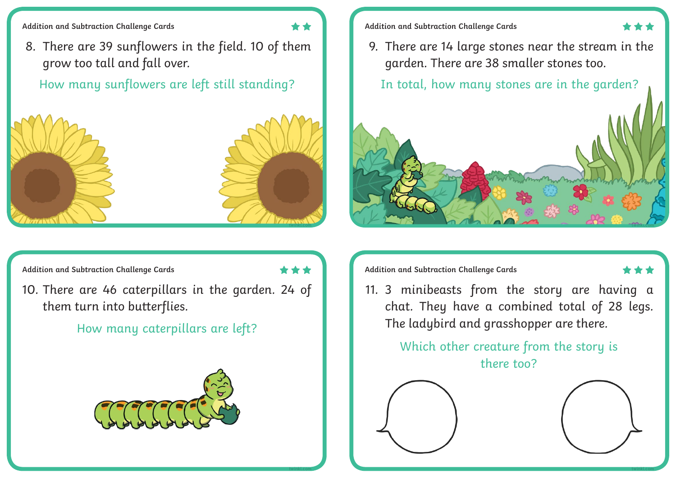**Addition and Subtraction Challenge Cards**

8. There are 39 sunflowers in the field. 10 of them grow too tall and fall over.

How many sunflowers are left still standing?  $\|\cdot\|$  In total, how many stones are in the garden?



**Addition and Subtraction Challenge Cards**

9. There are 14 large stones near the stream in the garden. There are 38 smaller stones too.



**twinkl.com**

10. There are 46 caterpillars in the garden. 24 of them turn into butterflies.

How many caterpillars are left?



Addition and Subtraction Challenge Cards **Addition and Subtraction Challenge Cards** 

**twinkl.com**

11. 3 minibeasts from the story are having a chat. They have a combined total of 28 legs. The ladybird and grasshopper are there.

> Which other creature from the story is there too?